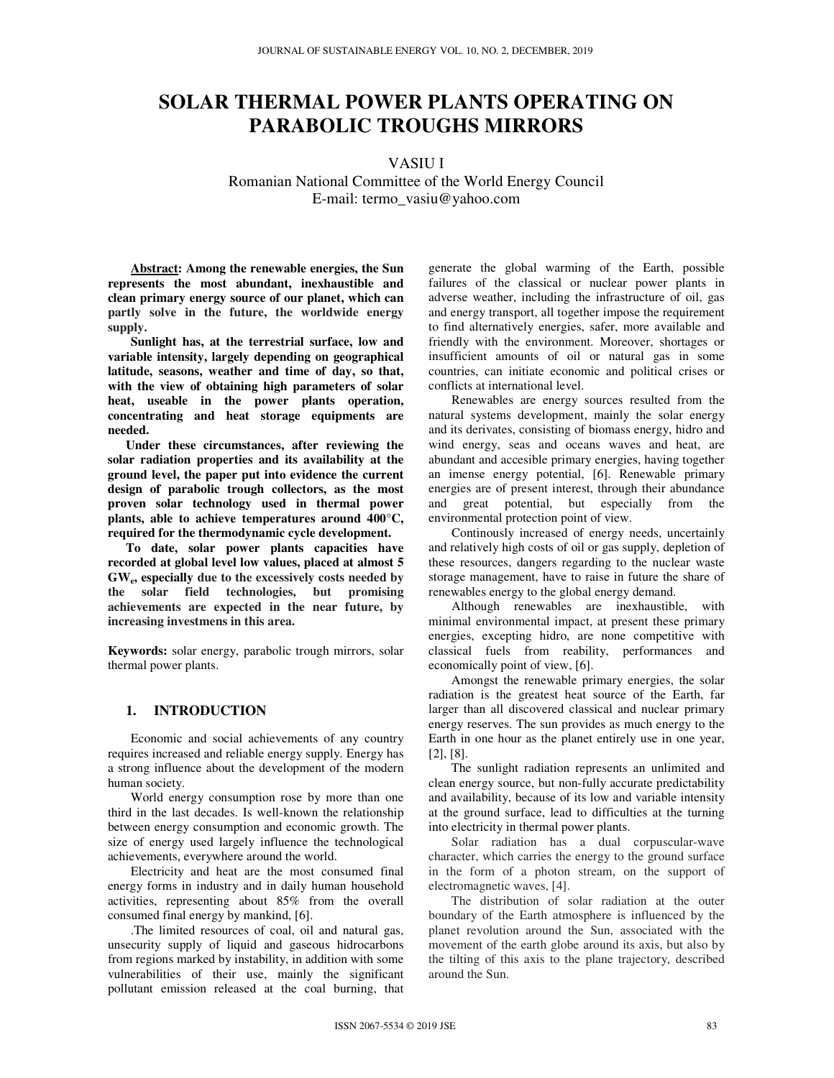# **SOLAR THERMAL POWER PLANTS OPERATING ON PARABOLIC TROUGHS MIRRORS**

VASIU I

Romanian National Committee of the World Energy Council E-mail: termo\_vasiu@yahoo.com

**Abstract: Among the renewable energies, the Sun represents the most abundant, inexhaustible and clean primary energy source of our planet, which can partly solve in the future, the worldwide energy supply.** 

**Sunlight has, at the terrestrial surface, low and variable intensity, largely depending on geographical latitude, seasons, weather and time of day, so that, with the view of obtaining high parameters of solar heat, useable in the power plants operation, concentrating and heat storage equipments are needed.**

**Under these circumstances, after reviewing the solar radiation properties and its availability at the ground level, the paper put into evidence the current design of parabolic trough collectors, as the most proven solar technology used in thermal power plants, able to achieve temperatures around 400°C, required for the thermodynamic cycle development.** 

**To date, solar power plants capacities have recorded at global level low values, placed at almost 5 GW<sup>e</sup> , especially due to the excessively costs needed by the solar field technologies, but promising achievements are expected in the near future, by increasing investmens in this area.**

**Keywords:** solar energy, parabolic trough mirrors, solar thermal power plants.

### **1. INTRODUCTION**

Economic and social achievements of any country requires increased and reliable energy supply. Energy has a strong influence about the development of the modern human society.

World energy consumption rose by more than one third in the last decades. Is well-known the relationship between energy consumption and economic growth. The size of energy used largely influence the technological achievements, everywhere around the world.

Electricity and heat are the most consumed final energy forms in industry and in daily human household activities, representing about 85% from the overall consumed final energy by mankind, [6].

.The limited resources of coal, oil and natural gas, unsecurity supply of liquid and gaseous hidrocarbons from regions marked by instability, in addition with some vulnerabilities of their use, mainly the significant pollutant emission released at the coal burning, that generate the global warming of the Earth, possible failures of the classical or nuclear power plants in adverse weather, including the infrastructure of oil, gas and energy transport, all together impose the requirement to find alternatively energies, safer, more available and friendly with the environment. Moreover, shortages or insufficient amounts of oil or natural gas in some countries, can initiate economic and political crises or conflicts at international level.

Renewables are energy sources resulted from the natural systems development, mainly the solar energy and its derivates, consisting of biomass energy, hidro and wind energy, seas and oceans waves and heat, are abundant and accesible primary energies, having together an imense energy potential, [6]. Renewable primary energies are of present interest, through their abundance and great potential, but especially from the environmental protection point of view.

Continously increased of energy needs, uncertainly and relatively high costs of oil or gas supply, depletion of these resources, dangers regarding to the nuclear waste storage management, have to raise in future the share of renewables energy to the global energy demand.

Although renewables are inexhaustible, with minimal environmental impact, at present these primary energies, excepting hidro, are none competitive with classical fuels from reability, performances and economically point of view, [6].

Amongst the renewable primary energies, the solar radiation is the greatest heat source of the Earth, far larger than all discovered classical and nuclear primary energy reserves. The sun provides as much energy to the Earth in one hour as the planet entirely use in one year, [2], [8].

The sunlight radiation represents an unlimited and clean energy source, but non-fully accurate predictability and availability, because of its low and variable intensity at the ground surface, lead to difficulties at the turning into electricity in thermal power plants.

Solar radiation has a dual corpuscular-wave character, which carries the energy to the ground surface in the form of a photon stream, on the support of electromagnetic waves, [4].

The distribution of solar radiation at the outer boundary of the Earth atmosphere is influenced by the planet revolution around the Sun, associated with the movement of the earth globe around its axis, but also by the tilting of this axis to the plane trajectory, described around the Sun.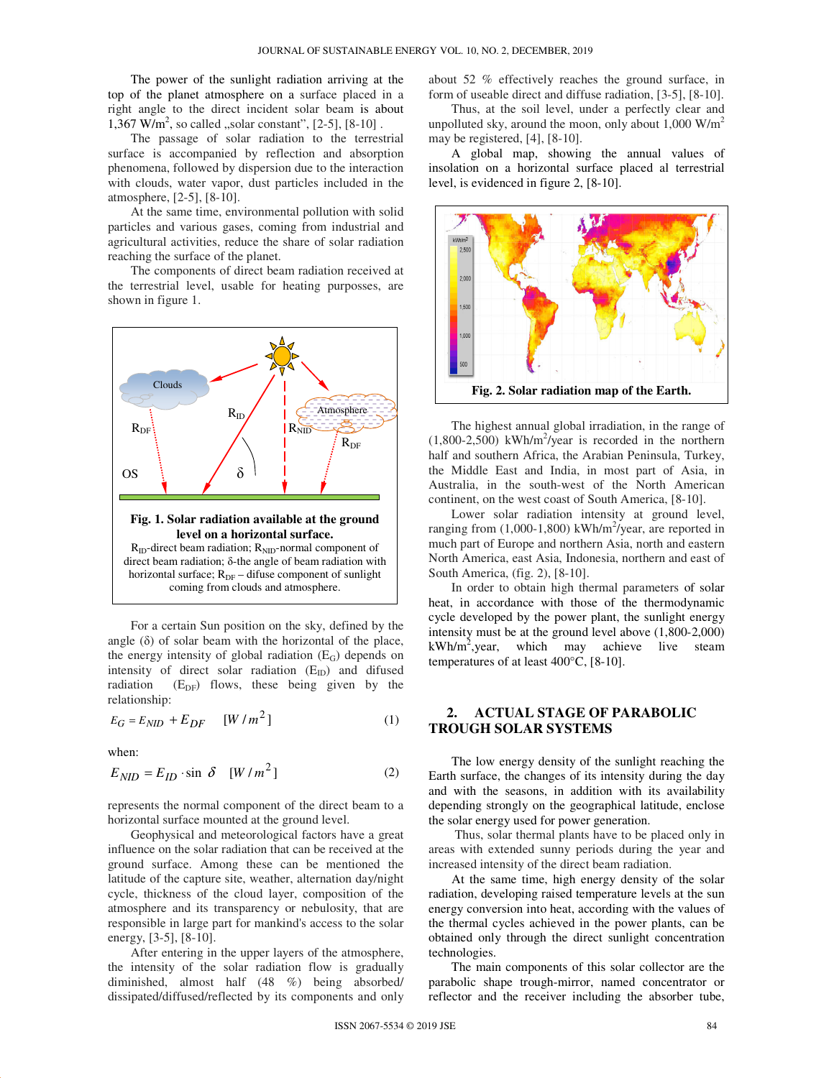The power of the sunlight radiation arriving at the top of the planet atmosphere on a surface placed in a right angle to the direct incident solar beam is about  $1,367$  W/m<sup>2</sup>, so called , solar constant",  $[2-5]$ ,  $[8-10]$ .

The passage of solar radiation to the terrestrial surface is accompanied by reflection and absorption phenomena, followed by dispersion due to the interaction with clouds, water vapor, dust particles included in the atmosphere, [2-5], [8-10].

At the same time, environmental pollution with solid particles and various gases, coming from industrial and agricultural activities, reduce the share of solar radiation reaching the surface of the planet.

The components of direct beam radiation received at the terrestrial level, usable for heating purposses, are shown in figure 1.



For a certain Sun position on the sky, defined by the angle  $(\delta)$  of solar beam with the horizontal of the place, the energy intensity of global radiation  $(E_G)$  depends on intensity of direct solar radiation  $(E_{ID})$  and difused radiation  $(E_{DF})$  flows, these being given by the relationship:

$$
E_G = E_{NID} + E_{DF} \qquad [W/m^2]
$$
 (1)

when:

$$
E_{NID} = E_{ID} \cdot \sin \delta \quad [W/m^2]
$$
 (2)

represents the normal component of the direct beam to a horizontal surface mounted at the ground level.

Geophysical and meteorological factors have a great influence on the solar radiation that can be received at the ground surface. Among these can be mentioned the latitude of the capture site, weather, alternation day/night cycle, thickness of the cloud layer, composition of the atmosphere and its transparency or nebulosity, that are responsible in large part for mankind's access to the solar energy, [3-5], [8-10].

After entering in the upper layers of the atmosphere, the intensity of the solar radiation flow is gradually diminished, almost half (48 %) being absorbed/ dissipated/diffused/reflected by its components and only about 52 % effectively reaches the ground surface, in form of useable direct and diffuse radiation, [3-5], [8-10].

Thus, at the soil level, under a perfectly clear and unpolluted sky, around the moon, only about  $1,000 \text{ W/m}^2$ may be registered, [4], [8-10].

A global map, showing the annual values of insolation on a horizontal surface placed al terrestrial level, is evidenced in figure 2, [8-10].



The highest annual global irradiation, in the range of  $(1,800-2,500)$  kWh/m<sup>2</sup>/year is recorded in the northern half and southern Africa, the Arabian Peninsula, Turkey, the Middle East and India, in most part of Asia, in Australia, in the south-west of the North American continent, on the west coast of South America, [8-10].

Lower solar radiation intensity at ground level, ranging from (1,000-1,800) kWh/m<sup>2</sup>/year, are reported in much part of Europe and northern Asia, north and eastern North America, east Asia, Indonesia, northern and east of South America, (fig. 2), [8-10].

In order to obtain high thermal parameters of solar heat, in accordance with those of the thermodynamic cycle developed by the power plant, the sunlight energy intensity must be at the ground level above (1,800-2,000)  $kWh/m^2$ , year, which may achieve live steam temperatures of at least 400°C, [8-10].

# **2. ACTUAL STAGE OF PARABOLIC TROUGH SOLAR SYSTEMS**

The low energy density of the sunlight reaching the Earth surface, the changes of its intensity during the day and with the seasons, in addition with its availability depending strongly on the geographical latitude, enclose the solar energy used for power generation.

Thus, solar thermal plants have to be placed only in areas with extended sunny periods during the year and increased intensity of the direct beam radiation.

At the same time, high energy density of the solar radiation, developing raised temperature levels at the sun energy conversion into heat, according with the values of the thermal cycles achieved in the power plants, can be obtained only through the direct sunlight concentration technologies.

The main components of this solar collector are the parabolic shape trough-mirror, named concentrator or reflector and the receiver including the absorber tube,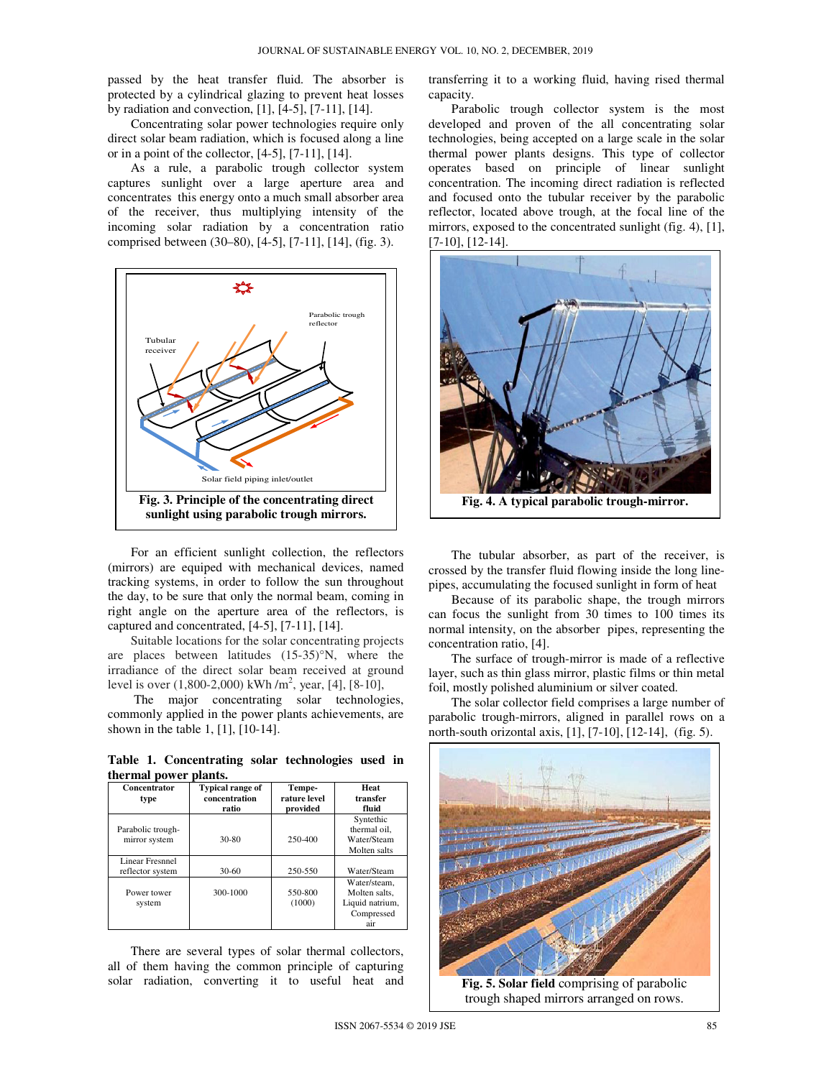passed by the heat transfer fluid. The absorber is protected by a cylindrical glazing to prevent heat losses by radiation and convection, [1], [4-5], [7-11], [14].

Concentrating solar power technologies require only direct solar beam radiation, which is focused along a line or in a point of the collector,  $[4-5]$ ,  $[7-11]$ ,  $[14]$ .

As a rule, a parabolic trough collector system captures sunlight over a large aperture area and concentrates this energy onto a much small absorber area of the receiver, thus multiplying intensity of the incoming solar radiation by a concentration ratio comprised between (30–80), [4-5], [7-11], [14], (fig. 3).



For an efficient sunlight collection, the reflectors (mirrors) are equiped with mechanical devices, named tracking systems, in order to follow the sun throughout the day, to be sure that only the normal beam, coming in right angle on the aperture area of the reflectors, is captured and concentrated, [4-5], [7-11], [14].

Suitable locations for the solar concentrating projects are places between latitudes (15-35)°N, where the irradiance of the direct solar beam received at ground level is over  $(1,800-2,000)$  kWh /m<sup>2</sup>, year, [4], [8-10],

 The major concentrating solar technologies, commonly applied in the power plants achievements, are shown in the table 1, [1], [10-14].

**Table 1. Concentrating solar technologies used in thermal power plants.** 

| Concentrator<br>type                       | <b>Typical range of</b><br>concentration<br>ratio | Tempe-<br>rature level<br>provided | Heat<br>transfer<br>fluid                                             |
|--------------------------------------------|---------------------------------------------------|------------------------------------|-----------------------------------------------------------------------|
| Parabolic trough-<br>mirror system         | 30-80                                             | 250-400                            | Syntethic<br>thermal oil.<br>Water/Steam<br>Molten salts              |
| <b>Linear Fresnnel</b><br>reflector system | $30-60$                                           | 250-550                            | Water/Steam                                                           |
| Power tower<br>system                      | 300-1000                                          | 550-800<br>(1000)                  | Water/steam.<br>Molten salts.<br>Liquid natrium,<br>Compressed<br>air |

There are several types of solar thermal collectors, all of them having the common principle of capturing solar radiation, converting it to useful heat and transferring it to a working fluid, having rised thermal capacity.

Parabolic trough collector system is the most developed and proven of the all concentrating solar technologies, being accepted on a large scale in the solar thermal power plants designs. This type of collector operates based on principle of linear sunlight concentration. The incoming direct radiation is reflected and focused onto the tubular receiver by the parabolic reflector, located above trough, at the focal line of the mirrors, exposed to the concentrated sunlight (fig. 4), [1], [7-10], [12-14].



The tubular absorber, as part of the receiver, is crossed by the transfer fluid flowing inside the long linepipes, accumulating the focused sunlight in form of heat

Because of its parabolic shape, the trough mirrors can focus the sunlight from 30 times to 100 times its normal intensity, on the absorber pipes, representing the concentration ratio, [4].

The surface of trough-mirror is made of a reflective layer, such as thin glass mirror, plastic films or thin metal foil, mostly polished aluminium or silver coated.

The solar collector field comprises a large number of parabolic trough-mirrors, aligned in parallel rows on a north-south orizontal axis, [1], [7-10], [12-14], (fig. 5).



**Fig. 5. Solar field** comprising of parabolic trough shaped mirrors arranged on rows.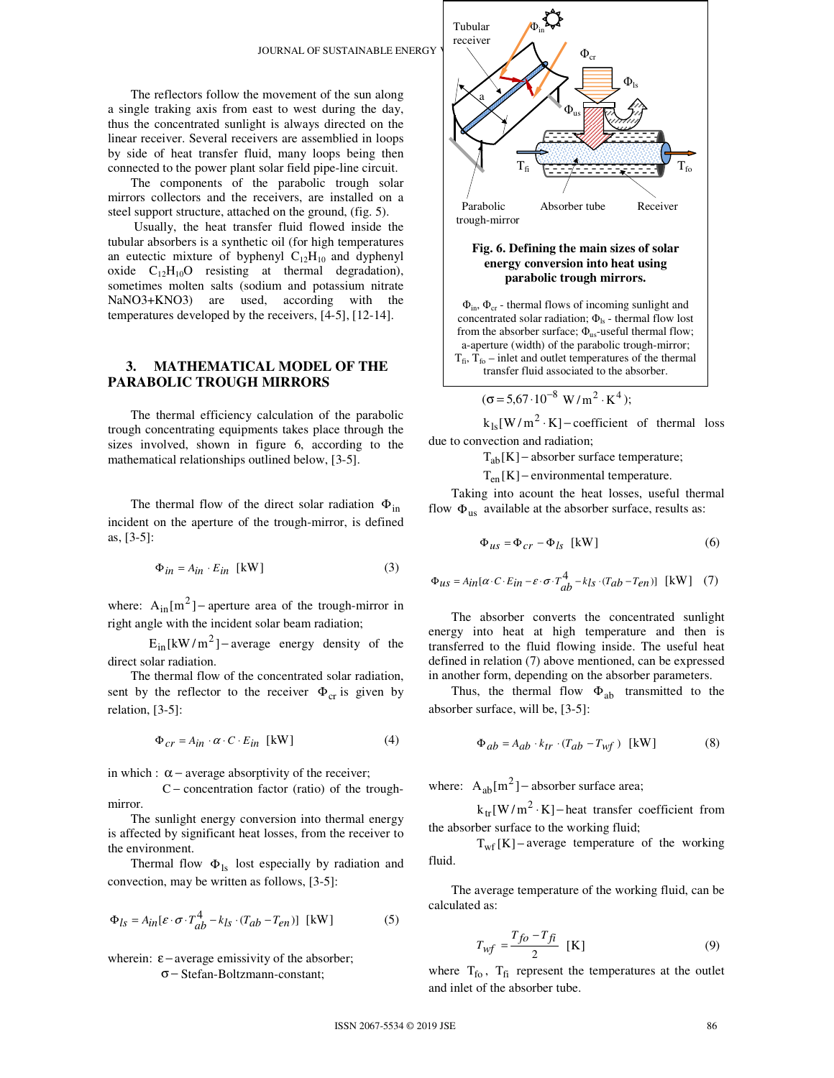

## **Fig. 6. Defining the main sizes of solar energy conversion into heat using parabolic trough mirrors.**

 $\Phi_{\text{in}}$ ,  $\Phi_{\text{cr}}$  - thermal flows of incoming sunlight and concentrated solar radiation;  $\Phi_{\text{ls}}$  - thermal flow lost from the absorber surface;  $\Phi_{\text{us}}$ -useful thermal flow; a-aperture (width) of the parabolic trough-mirror;  $T_{fi}$ ,  $T_{fo}$  – inlet and outlet temperatures of the thermal transfer fluid associated to the absorber.

$$
(\sigma = 5.67 \cdot 10^{-8} \text{ W/m}^2 \cdot \text{K}^4);
$$

 $k_{ls}[W/m^2 \cdot K]$  – coefficient of thermal loss due to convection and radiation;

 $T_{ab}[K]$  – absorber surface temperature;

 $T_{en}$ [K] – environmental temperature.

Taking into acount the heat losses, useful thermal flow  $\Phi_{\text{us}}$  available at the absorber surface, results as:

$$
\Phi_{us} = \Phi_{cr} - \Phi_{ls} \text{ [kW]}
$$
 (6)

$$
\Phi_{\textit{us}} = A_{\textit{in}} [\alpha \cdot C \cdot E_{\textit{in}} - \varepsilon \cdot \sigma \cdot T^4_{ab} - k_{ls} \cdot (T_{ab} - T_{en})] \ \ [\text{kW}] \quad (7)
$$

The absorber converts the concentrated sunlight energy into heat at high temperature and then is transferred to the fluid flowing inside. The useful heat defined in relation (7) above mentioned, can be expressed in another form, depending on the absorber parameters.

Thus, the thermal flow  $\Phi_{ab}$  transmitted to the absorber surface, will be, [3-5]:

$$
\Phi_{ab} = A_{ab} \cdot k_{tr} \cdot (T_{ab} - T_{wf}) \quad \text{[kW]} \tag{8}
$$

where:  $A_{ab}[m^2]$  – absorber surface area;

 $k_{tr}[W/m^2 \cdot K]$  – heat transfer coefficient from the absorber surface to the working fluid;

 $T_{wf}$ [K] – average temperature of the working fluid.

The average temperature of the working fluid, can be calculated as:

$$
T_{wf} = \frac{T_{fo} - T_{fi}}{2} \quad \text{[K]} \tag{9}
$$

where  $T_{\text{fo}}$ ,  $T_{\text{fi}}$  represent the temperatures at the outlet and inlet of the absorber tube.

The reflectors follow the movement of the sun along a single traking axis from east to west during the day, thus the concentrated sunlight is always directed on the linear receiver. Several receivers are assemblied in loops by side of heat transfer fluid, many loops being then connected to the power plant solar field pipe-line circuit.

The components of the parabolic trough solar mirrors collectors and the receivers, are installed on a steel support structure, attached on the ground, (fig. 5).

 Usually, the heat transfer fluid flowed inside the tubular absorbers is a synthetic oil (for high temperatures an eutectic mixture of byphenyl  $C_{12}H_{10}$  and dyphenyl oxide  $C_{12}H_{10}O$  resisting at thermal degradation), sometimes molten salts (sodium and potassium nitrate NaNO3+KNO3) are used, according with the temperatures developed by the receivers, [4-5], [12-14].

# **3. MATHEMATICAL MODEL OF THE PARABOLIC TROUGH MIRRORS**

The thermal efficiency calculation of the parabolic trough concentrating equipments takes place through the sizes involved, shown in figure 6, according to the mathematical relationships outlined below, [3-5].

The thermal flow of the direct solar radiation  $\Phi_{in}$ incident on the aperture of the trough-mirror, is defined as, [3-5]:

$$
\Phi_{in} = A_{in} \cdot E_{in} \text{ [kW]}
$$
 (3)

where:  $A_{in} [m^2]$  – aperture area of the trough-mirror in right angle with the incident solar beam radiation;

 $E_{in}[kW/m^2]$  – average energy density of the direct solar radiation.

The thermal flow of the concentrated solar radiation, sent by the reflector to the receiver  $\Phi_{cr}$  is given by relation, [3-5]:

$$
\Phi_{cr} = A_{in} \cdot \alpha \cdot C \cdot E_{in} \text{ [kW]} \tag{4}
$$

in which :  $\alpha$  – average absorptivity of the receiver;

 C − concentration factor (ratio) of the troughmirror.

The sunlight energy conversion into thermal energy is affected by significant heat losses, from the receiver to the environment.

Thermal flow  $\Phi_{1s}$  lost especially by radiation and convection, may be written as follows, [3-5]:

$$
\Phi_{ls} = A_{in}[\varepsilon \cdot \sigma \cdot T_{ab}^4 - k_{ls} \cdot (T_{ab} - T_{en})] \text{ [kW]} \tag{5}
$$

wherein:  $\varepsilon$  – average emissivity of the absorber; σ − Stefan-Boltzmann-constant;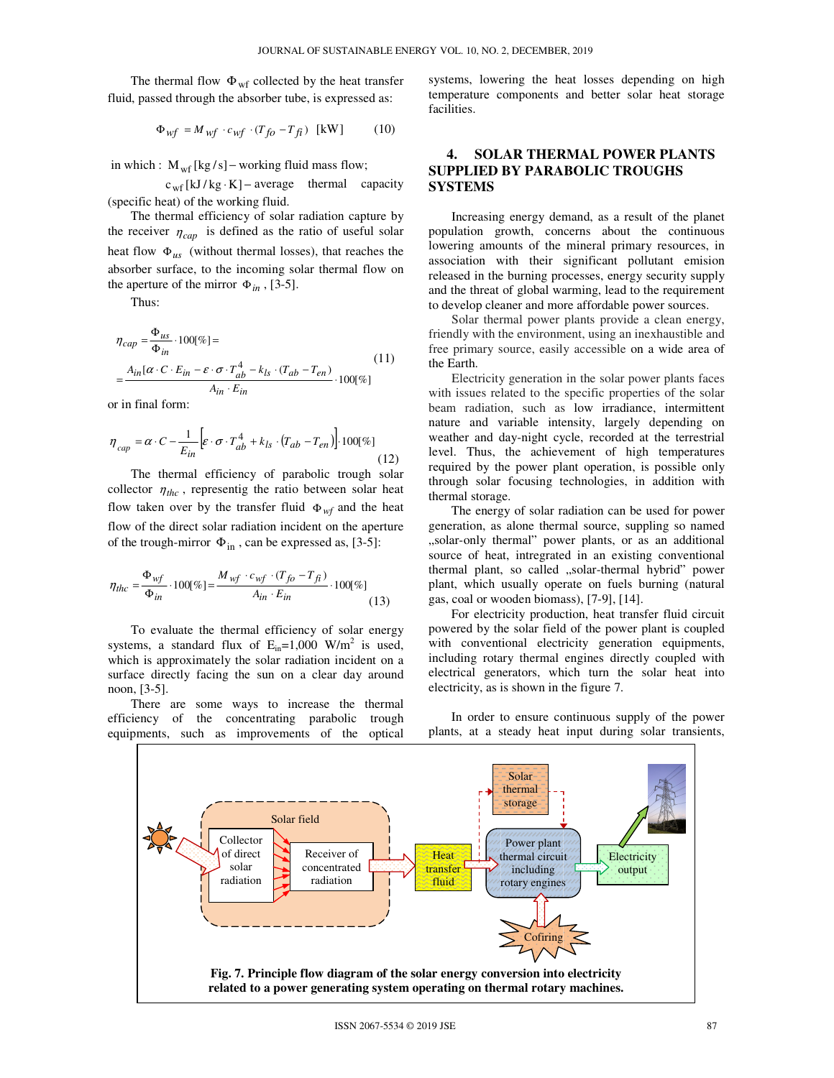The thermal flow  $\Phi_{\rm wf}$  collected by the heat transfer fluid, passed through the absorber tube, is expressed as:

$$
\Phi_{wf} = M_{wf} \cdot c_{wf} \cdot (T_{fo} - T_{fi}) \text{ [kW]} \tag{10}
$$

in which :  $M_{wf}$  [kg/s] – working fluid mass flow;

  $c_{wf}$ [kJ/kg·K] – average thermal capacity (specific heat) of the working fluid.

The thermal efficiency of solar radiation capture by the receiver  $\eta_{cap}$  is defined as the ratio of useful solar heat flow  $\Phi_{us}$  (without thermal losses), that reaches the absorber surface, to the incoming solar thermal flow on the aperture of the mirror  $\Phi_{in}$ , [3-5].

Thus:

$$
\eta_{cap} = \frac{\Phi_{us}}{\Phi_{in}} \cdot 100[\%] =
$$
\n
$$
= \frac{A_{in}[\alpha \cdot C \cdot E_{in} - \varepsilon \cdot \sigma \cdot T_{ab}^{4} - k_{ls} \cdot (T_{ab} - T_{en})}{A_{in} \cdot E_{in}} \cdot 100[\%]
$$
\n(11)

or in final form:

$$
\eta_{cap} = \alpha \cdot C - \frac{1}{E_{in}} \left[ \varepsilon \cdot \sigma \cdot T_{ab}^4 + k_{ls} \cdot (T_{ab} - T_{en}) \right] \cdot 100[\%]
$$
\n(12)

The thermal efficiency of parabolic trough solar collector  $\eta_{thc}$ , representig the ratio between solar heat flow taken over by the transfer fluid  $\Phi_{wf}$  and the heat flow of the direct solar radiation incident on the aperture of the trough-mirror  $\Phi_{in}$ , can be expressed as, [3-5]:

$$
\eta_{thc} = \frac{\Phi_{wf}}{\Phi_{in}} \cdot 100[\%] = \frac{M_{wf} \cdot c_{wf} \cdot (T_{fo} - T_{fi})}{A_{in} \cdot E_{in}} \cdot 100[\%]
$$
\n(13)

To evaluate the thermal efficiency of solar energy systems, a standard flux of  $E_{in} = 1,000$  W/m<sup>2</sup> is used, which is approximately the solar radiation incident on a surface directly facing the sun on a clear day around noon, [3-5].

There are some ways to increase the thermal efficiency of the concentrating parabolic trough equipments, such as improvements of the optical

systems, lowering the heat losses depending on high temperature components and better solar heat storage facilities.

# **4. SOLAR THERMAL POWER PLANTS SUPPLIED BY PARABOLIC TROUGHS SYSTEMS**

Increasing energy demand, as a result of the planet population growth, concerns about the continuous lowering amounts of the mineral primary resources, in association with their significant pollutant emision released in the burning processes, energy security supply and the threat of global warming, lead to the requirement to develop cleaner and more affordable power sources.

Solar thermal power plants provide a clean energy, friendly with the environment, using an inexhaustible and free primary source, easily accessible on a wide area of the Earth.

Electricity generation in the solar power plants faces with issues related to the specific properties of the solar beam radiation, such as low irradiance, intermittent nature and variable intensity, largely depending on weather and day-night cycle, recorded at the terrestrial level. Thus, the achievement of high temperatures required by the power plant operation, is possible only through solar focusing technologies, in addition with thermal storage.

The energy of solar radiation can be used for power generation, as alone thermal source, suppling so named "solar-only thermal" power plants, or as an additional source of heat, intregrated in an existing conventional thermal plant, so called "solar-thermal hybrid" power plant, which usually operate on fuels burning (natural gas, coal or wooden biomass), [7-9], [14].

For electricity production, heat transfer fluid circuit powered by the solar field of the power plant is coupled with conventional electricity generation equipments, including rotary thermal engines directly coupled with electrical generators, which turn the solar heat into electricity, as is shown in the figure 7.

In order to ensure continuous supply of the power plants, at a steady heat input during solar transients,

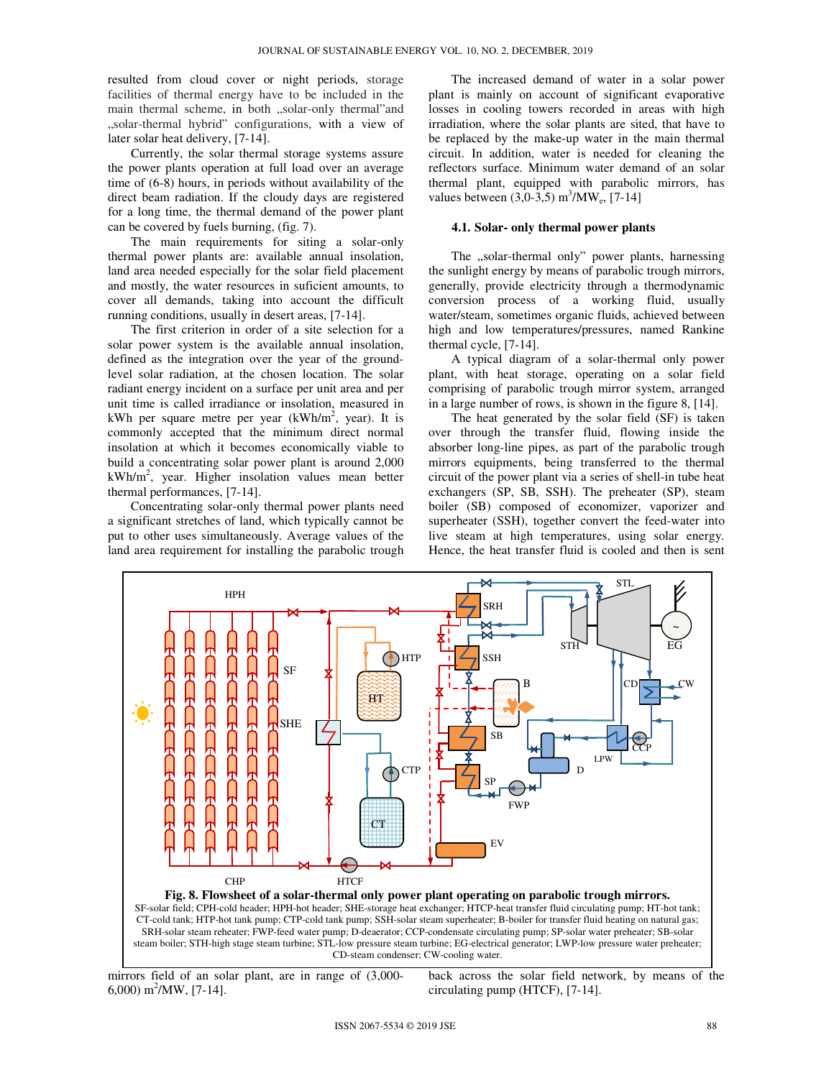resulted from cloud cover or night periods, storage facilities of thermal energy have to be included in the main thermal scheme, in both "solar-only thermal"and "solar-thermal hybrid" configurations, with a view of later solar heat delivery, [7-14].

Currently, the solar thermal storage systems assure the power plants operation at full load over an average time of (6-8) hours, in periods without availability of the direct beam radiation. If the cloudy days are registered for a long time, the thermal demand of the power plant can be covered by fuels burning, (fig. 7).

The main requirements for siting a solar-only thermal power plants are: available annual insolation, land area needed especially for the solar field placement and mostly, the water resources in suficient amounts, to cover all demands, taking into account the difficult running conditions, usually in desert areas, [7-14].

The first criterion in order of a site selection for a solar power system is the available annual insolation, defined as the integration over the year of the groundlevel solar radiation, at the chosen location. The solar radiant energy incident on a surface per unit area and per unit time is called irradiance or insolation, measured in kWh per square metre per year  $(kWh/m^2$ , year). It is commonly accepted that the minimum direct normal insolation at which it becomes economically viable to build a concentrating solar power plant is around 2,000  $kWh/m<sup>2</sup>$ , year. Higher insolation values mean better thermal performances, [7-14].

Concentrating solar-only thermal power plants need a significant stretches of land, which typically cannot be put to other uses simultaneously. Average values of the land area requirement for installing the parabolic trough

The increased demand of water in a solar power plant is mainly on account of significant evaporative losses in cooling towers recorded in areas with high irradiation, where the solar plants are sited, that have to be replaced by the make-up water in the main thermal circuit. In addition, water is needed for cleaning the reflectors surface. Minimum water demand of an solar thermal plant, equipped with parabolic mirrors, has values between  $(3,0-3,5)$  m<sup>3</sup>/MW<sub>e</sub>, [7-14]

#### **4.1. Solar- only thermal power plants**

The "solar-thermal only" power plants, harnessing the sunlight energy by means of parabolic trough mirrors, generally, provide electricity through a thermodynamic conversion process of a working fluid, usually water/steam, sometimes organic fluids, achieved between high and low temperatures/pressures, named Rankine thermal cycle, [7-14].

A typical diagram of a solar-thermal only power plant, with heat storage, operating on a solar field comprising of parabolic trough mirror system, arranged in a large number of rows, is shown in the figure 8, [14].

The heat generated by the solar field (SF) is taken over through the transfer fluid, flowing inside the absorber long-line pipes, as part of the parabolic trough mirrors equipments, being transferred to the thermal circuit of the power plant via a series of shell-in tube heat exchangers (SP, SB, SSH). The preheater (SP), steam boiler (SB) composed of economizer, vaporizer and superheater (SSH), together convert the feed-water into live steam at high temperatures, using solar energy. Hence, the heat transfer fluid is cooled and then is sent



mirrors field of an solar plant, are in range of (3,000-  $6,000 \text{ m}^2/\text{MW}, [7-14].$ 

back across the solar field network, by means of the circulating pump (HTCF), [7-14].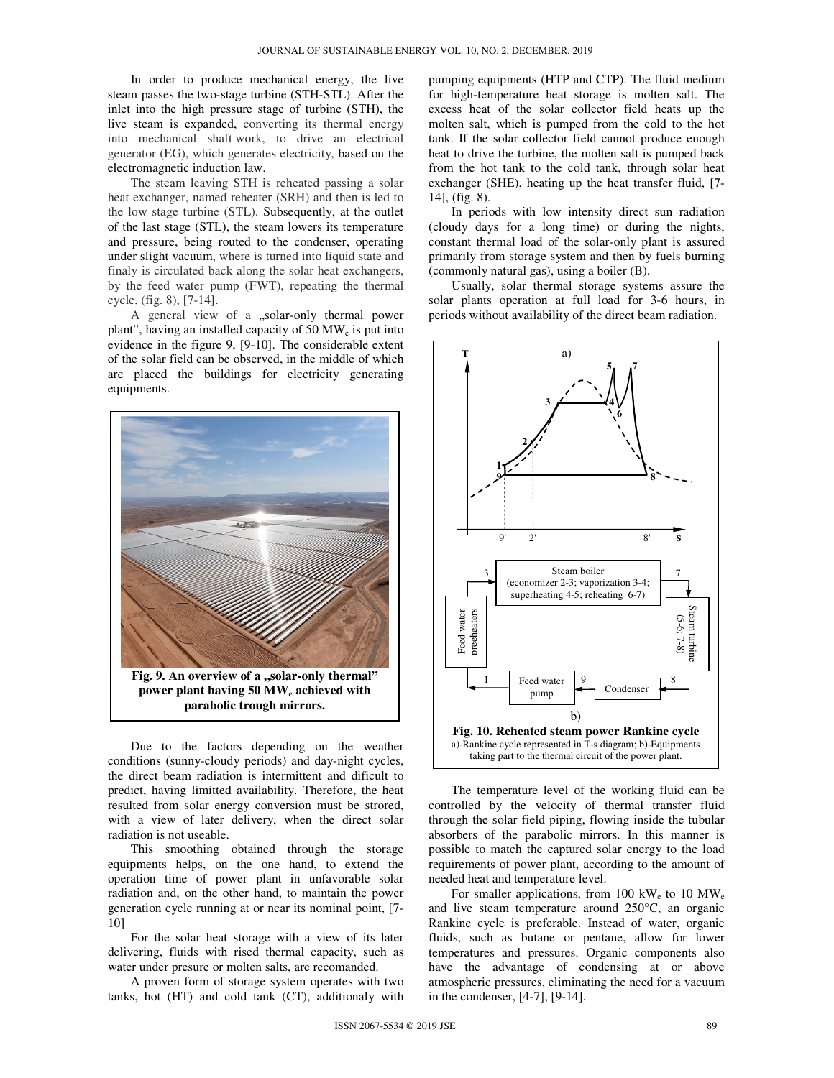In order to produce mechanical energy, the live steam passes the two-stage turbine (STH-STL). After the inlet into the high pressure stage of turbine (STH), the live steam is expanded, converting its thermal energy into mechanical shaft work, to drive an electrical generator (EG), which generates electricity, based on the electromagnetic induction law.

The steam leaving STH is reheated passing a solar heat exchanger, named reheater (SRH) and then is led to the low stage turbine (STL). Subsequently, at the outlet of the last stage (STL), the steam lowers its temperature and pressure, being routed to the condenser, operating under slight vacuum, where is turned into liquid state and finaly is circulated back along the solar heat exchangers, by the feed water pump (FWT), repeating the thermal cycle, (fig. 8), [7-14].

A general view of a "solar-only thermal power plant", having an installed capacity of 50 MW<sub>e</sub> is put into evidence in the figure 9, [9-10]. The considerable extent of the solar field can be observed, in the middle of which are placed the buildings for electricity generating equipments.



Due to the factors depending on the weather conditions (sunny-cloudy periods) and day-night cycles, the direct beam radiation is intermittent and dificult to predict, having limitted availability. Therefore, the heat resulted from solar energy conversion must be strored, with a view of later delivery, when the direct solar radiation is not useable.

This smoothing obtained through the storage equipments helps, on the one hand, to extend the operation time of power plant in unfavorable solar radiation and, on the other hand, to maintain the power generation cycle running at or near its nominal point, [7- 10]

For the solar heat storage with a view of its later delivering, fluids with rised thermal capacity, such as water under presure or molten salts, are recomanded.

A proven form of storage system operates with two tanks, hot (HT) and cold tank (CT), additionaly with pumping equipments (HTP and CTP). The fluid medium for high-temperature heat storage is molten salt. The excess heat of the solar collector field heats up the molten salt, which is pumped from the cold to the hot tank. If the solar collector field cannot produce enough heat to drive the turbine, the molten salt is pumped back from the hot tank to the cold tank, through solar heat exchanger (SHE), heating up the heat transfer fluid, [7- 14], (fig. 8).

In periods with low intensity direct sun radiation (cloudy days for a long time) or during the nights, constant thermal load of the solar-only plant is assured primarily from storage system and then by fuels burning (commonly natural gas), using a boiler (B).

Usually, solar thermal storage systems assure the solar plants operation at full load for 3-6 hours, in periods without availability of the direct beam radiation.



The temperature level of the working fluid can be controlled by the velocity of thermal transfer fluid through the solar field piping, flowing inside the tubular absorbers of the parabolic mirrors. In this manner is possible to match the captured solar energy to the load requirements of power plant, according to the amount of needed heat and temperature level.

For smaller applications, from 100  $kW_e$  to 10  $MW_e$ and live steam temperature around 250°C, an organic Rankine cycle is preferable. Instead of water, organic fluids, such as butane or pentane, allow for lower temperatures and pressures. Organic components also have the advantage of condensing at or above atmospheric pressures, eliminating the need for a vacuum in the condenser, [4-7], [9-14].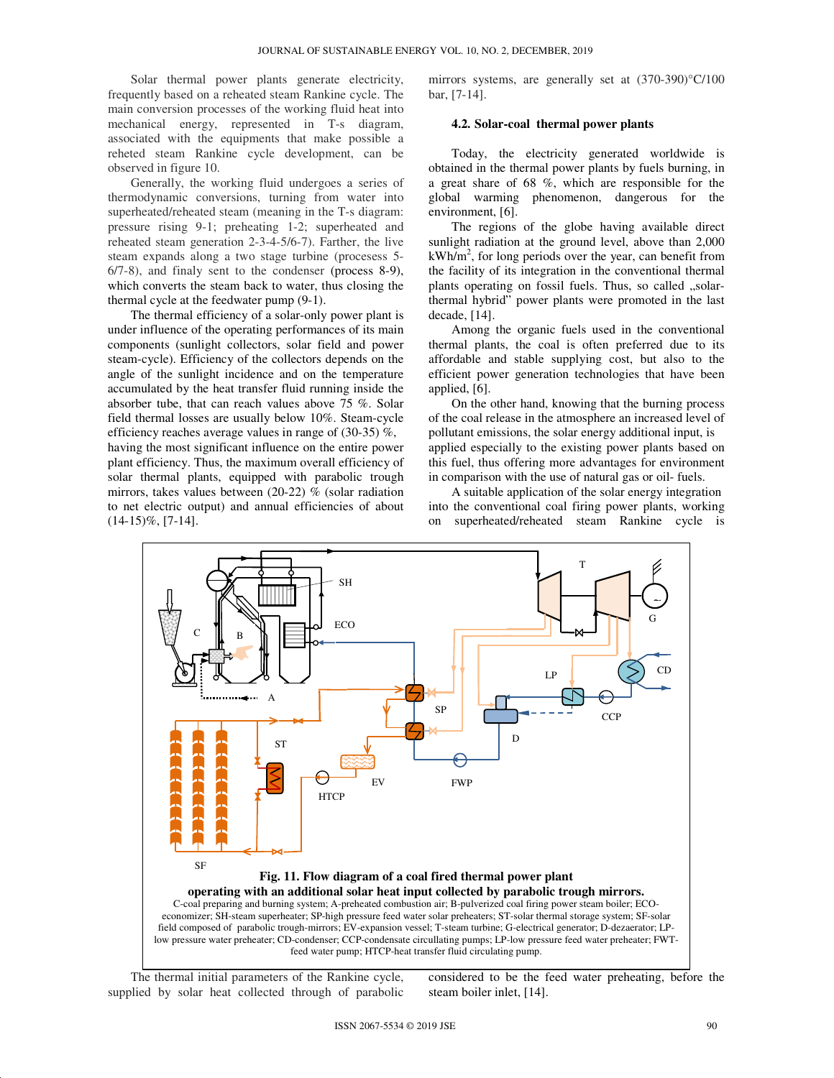Solar thermal power plants generate electricity, frequently based on a reheated steam Rankine cycle. The main conversion processes of the working fluid heat into mechanical energy, represented in T-s diagram, associated with the equipments that make possible a reheted steam Rankine cycle development, can be observed in figure 10.

Generally, the working fluid undergoes a series of thermodynamic conversions, turning from water into superheated/reheated steam (meaning in the T-s diagram: pressure rising 9-1; preheating 1-2; superheated and reheated steam generation 2-3-4-5/6-7). Farther, the live steam expands along a two stage turbine (procesess 5- 6/7-8), and finaly sent to the condenser (process 8-9), which converts the steam back to water, thus closing the thermal cycle at the feedwater pump (9-1).

The thermal efficiency of a solar-only power plant is under influence of the operating performances of its main components (sunlight collectors, solar field and power steam-cycle). Efficiency of the collectors depends on the angle of the sunlight incidence and on the temperature accumulated by the heat transfer fluid running inside the absorber tube, that can reach values above 75 %. Solar field thermal losses are usually below 10%. Steam-cycle efficiency reaches average values in range of (30-35) %, having the most significant influence on the entire power plant efficiency. Thus, the maximum overall efficiency of solar thermal plants, equipped with parabolic trough mirrors, takes values between (20-22) % (solar radiation to net electric output) and annual efficiencies of about  $(14-15)\%$ , [7-14].

mirrors systems, are generally set at (370-390)°C/100 bar, [7-14].

#### **4.2. Solar-coal thermal power plants**

Today, the electricity generated worldwide is obtained in the thermal power plants by fuels burning, in a great share of 68 %, which are responsible for the global warming phenomenon, dangerous for the environment, [6].

The regions of the globe having available direct sunlight radiation at the ground level, above than 2,000  $kWh/m<sup>2</sup>$ , for long periods over the year, can benefit from the facility of its integration in the conventional thermal plants operating on fossil fuels. Thus, so called "solarthermal hybrid" power plants were promoted in the last decade, [14].

Among the organic fuels used in the conventional thermal plants, the coal is often preferred due to its affordable and stable supplying cost, but also to the efficient power generation technologies that have been applied, [6].

On the other hand, knowing that the burning process of the coal release in the atmosphere an increased level of pollutant emissions, the solar energy additional input, is applied especially to the existing power plants based on this fuel, thus offering more advantages for environment in comparison with the use of natural gas or oil- fuels.

A suitable application of the solar energy integration into the conventional coal firing power plants, working on superheated/reheated steam Rankine cycle is



The thermal initial parameters of the Rankine cycle, supplied by solar heat collected through of parabolic considered to be the feed water preheating, before the steam boiler inlet, [14].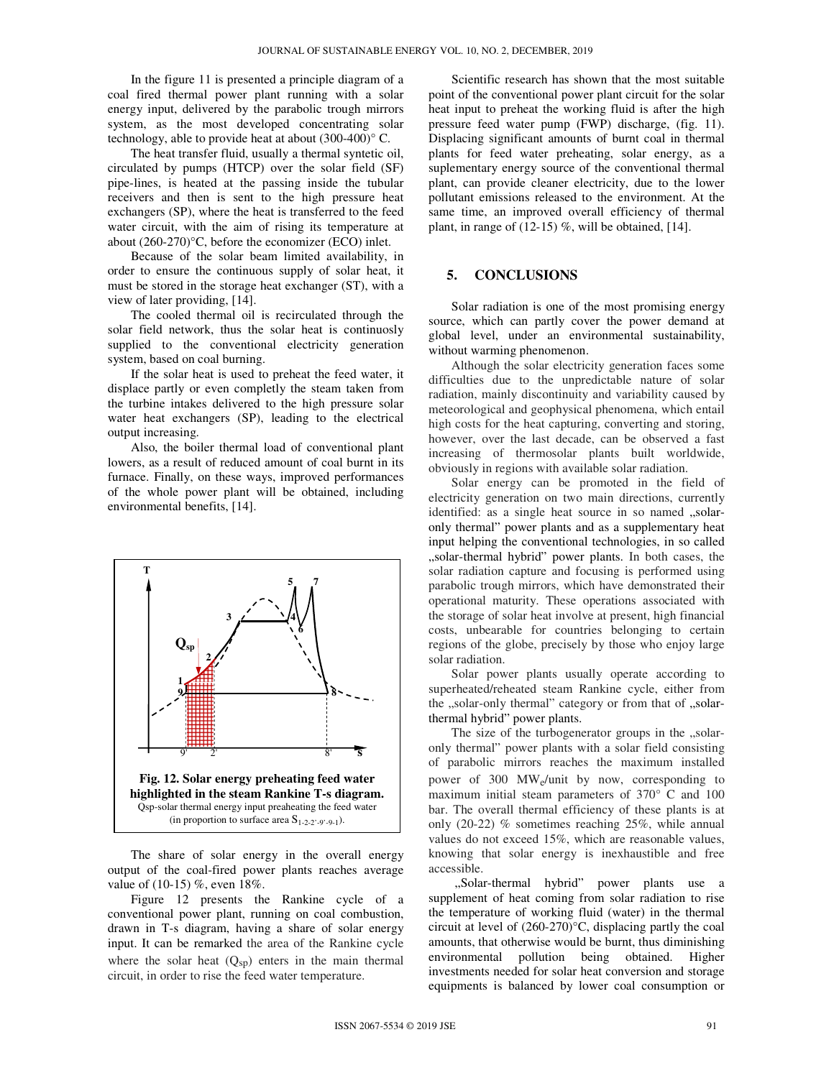In the figure 11 is presented a principle diagram of a coal fired thermal power plant running with a solar energy input, delivered by the parabolic trough mirrors system, as the most developed concentrating solar technology, able to provide heat at about (300-400)° C.

The heat transfer fluid, usually a thermal syntetic oil, circulated by pumps (HTCP) over the solar field (SF) pipe-lines, is heated at the passing inside the tubular receivers and then is sent to the high pressure heat exchangers (SP), where the heat is transferred to the feed water circuit, with the aim of rising its temperature at about (260-270)°C, before the economizer (ECO) inlet.

Because of the solar beam limited availability, in order to ensure the continuous supply of solar heat, it must be stored in the storage heat exchanger (ST), with a view of later providing, [14].

The cooled thermal oil is recirculated through the solar field network, thus the solar heat is continuosly supplied to the conventional electricity generation system, based on coal burning.

If the solar heat is used to preheat the feed water, it displace partly or even completly the steam taken from the turbine intakes delivered to the high pressure solar water heat exchangers (SP), leading to the electrical output increasing.

Also, the boiler thermal load of conventional plant lowers, as a result of reduced amount of coal burnt in its furnace. Finally, on these ways, improved performances of the whole power plant will be obtained, including environmental benefits, [14].



The share of solar energy in the overall energy output of the coal-fired power plants reaches average value of (10-15) %, even 18%.

Figure 12 presents the Rankine cycle of a conventional power plant, running on coal combustion, drawn in T-s diagram, having a share of solar energy input. It can be remarked the area of the Rankine cycle where the solar heat  $(Q_{SD})$  enters in the main thermal circuit, in order to rise the feed water temperature.

Scientific research has shown that the most suitable point of the conventional power plant circuit for the solar heat input to preheat the working fluid is after the high pressure feed water pump (FWP) discharge, (fig. 11). Displacing significant amounts of burnt coal in thermal plants for feed water preheating, solar energy, as a suplementary energy source of the conventional thermal plant, can provide cleaner electricity, due to the lower pollutant emissions released to the environment. At the same time, an improved overall efficiency of thermal plant, in range of  $(12-15)$  %, will be obtained, [14].

## **5. CONCLUSIONS**

Solar radiation is one of the most promising energy source, which can partly cover the power demand at global level, under an environmental sustainability, without warming phenomenon.

Although the solar electricity generation faces some difficulties due to the unpredictable nature of solar radiation, mainly discontinuity and variability caused by meteorological and geophysical phenomena, which entail high costs for the heat capturing, converting and storing, however, over the last decade, can be observed a fast increasing of thermosolar plants built worldwide, obviously in regions with available solar radiation.

Solar energy can be promoted in the field of electricity generation on two main directions, currently identified: as a single heat source in so named "solaronly thermal" power plants and as a supplementary heat input helping the conventional technologies, in so called "solar-thermal hybrid" power plants. In both cases, the solar radiation capture and focusing is performed using parabolic trough mirrors, which have demonstrated their operational maturity. These operations associated with the storage of solar heat involve at present, high financial costs, unbearable for countries belonging to certain regions of the globe, precisely by those who enjoy large solar radiation.

Solar power plants usually operate according to superheated/reheated steam Rankine cycle, either from the "solar-only thermal" category or from that of "solarthermal hybrid" power plants.

The size of the turbogenerator groups in the "solaronly thermal" power plants with a solar field consisting of parabolic mirrors reaches the maximum installed power of 300 MWe/unit by now, corresponding to maximum initial steam parameters of 370° C and 100 bar. The overall thermal efficiency of these plants is at only (20-22) % sometimes reaching 25%, while annual values do not exceed 15%, which are reasonable values, knowing that solar energy is inexhaustible and free accessible.

"Solar-thermal hybrid" power plants use a supplement of heat coming from solar radiation to rise the temperature of working fluid (water) in the thermal circuit at level of (260-270)°C, displacing partly the coal amounts, that otherwise would be burnt, thus diminishing environmental pollution being obtained. Higher investments needed for solar heat conversion and storage equipments is balanced by lower coal consumption or